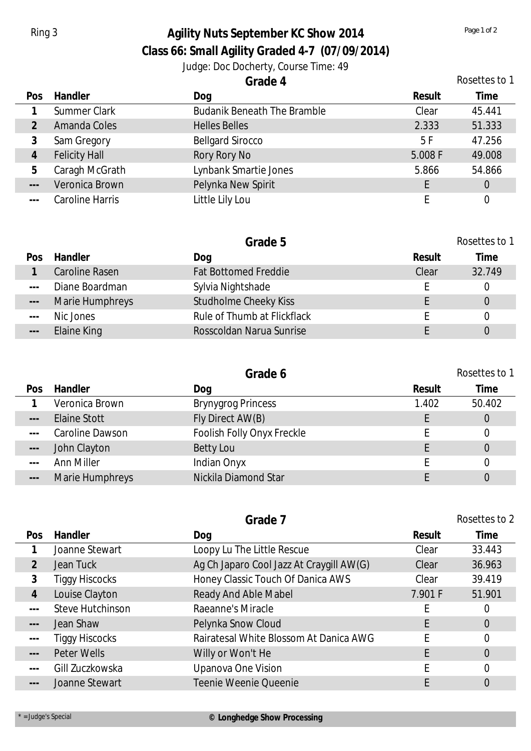## Ring 3 **Agility Nuts September KC Show 2014** *Page 1 of 2 Page 1 of 2*

**Class 66: Small Agility Graded 4-7 (07/09/2014)**

Judge: Doc Docherty, Course Time: 49

|                      |                      | Grade 4                            | Rosettes to 1 |                |  |
|----------------------|----------------------|------------------------------------|---------------|----------------|--|
| Pos                  | <b>Handler</b>       | Dog                                | Result        | Time           |  |
|                      | <b>Summer Clark</b>  | <b>Budanik Beneath The Bramble</b> | Clear         | 45.441         |  |
|                      | Amanda Coles         | <b>Helles Belles</b>               | 2.333         | 51.333         |  |
| 3                    | Sam Gregory          | <b>Bellgard Sirocco</b>            | 5F            | 47.256         |  |
| 4                    | <b>Felicity Hall</b> | Rory Rory No                       | 5.008 F       | 49.008         |  |
| 5                    | Caragh McGrath       | Lynbank Smartie Jones              | 5.866         | 54.866         |  |
| $\sim$ $\sim$ $\sim$ | Veronica Brown       | Pelynka New Spirit                 |               | $\overline{0}$ |  |
| $\frac{1}{2}$        | Caroline Harris      | Little Lily Lou                    |               |                |  |

|                      |                 | Grade 5                      |        | Rosettes to 1 |
|----------------------|-----------------|------------------------------|--------|---------------|
| Pos                  | Handler         | Dog                          | Result | Time          |
|                      | Caroline Rasen  | <b>Fat Bottomed Freddie</b>  | Clear  | 32.749        |
| $  -$                | Diane Boardman  | Sylvia Nightshade            |        |               |
| $\frac{1}{2}$        | Marie Humphreys | <b>Studholme Cheeky Kiss</b> |        | 0             |
| $\sim$ $\sim$ $\sim$ | Nic Jones       | Rule of Thumb at Flickflack  |        |               |
| $\frac{1}{2}$        | Elaine King     | Rosscoldan Narua Sunrise     |        |               |

|                   |                 | Grade 6                    |        | Rosettes to 1 |
|-------------------|-----------------|----------------------------|--------|---------------|
| Pos               | Handler         | Dog                        | Result | Time          |
|                   | Veronica Brown  | <b>Brynygrog Princess</b>  | 1.402  | 50.402        |
| $---$             | Elaine Stott    | Fly Direct AW(B)           |        | 0             |
| $- - -$           | Caroline Dawson | Foolish Folly Onyx Freckle |        |               |
| $\qquad \qquad -$ | John Clayton    | Betty Lou                  |        | 0             |
| $- - -$           | Ann Miller      | Indian Onyx                |        |               |
| $\frac{1}{2}$     | Marie Humphreys | Nickila Diamond Star       |        |               |
|                   |                 |                            |        |               |

|  |                      | Grade 7                 |                                          | Rosettes to 2 |                |  |
|--|----------------------|-------------------------|------------------------------------------|---------------|----------------|--|
|  | Pos                  | Handler                 | Dog                                      | Result        | Time           |  |
|  |                      | Joanne Stewart          | Loopy Lu The Little Rescue               | Clear         | 33.443         |  |
|  | $\overline{2}$       | Jean Tuck               | Ag Ch Japaro Cool Jazz At Craygill AW(G) | Clear         | 36.963         |  |
|  | 3                    | <b>Tiggy Hiscocks</b>   | Honey Classic Touch Of Danica AWS        | Clear         | 39.419         |  |
|  | $\overline{4}$       | Louise Clayton          | Ready And Able Mabel                     | 7.901 F       | 51.901         |  |
|  | $\sim$ $\sim$ $\sim$ | <b>Steve Hutchinson</b> | Raeanne's Miracle                        |               | 0              |  |
|  | $\qquad \qquad - -$  | Jean Shaw               | Pelynka Snow Cloud                       |               | $\overline{0}$ |  |
|  | $\sim$ $\sim$ $\sim$ | <b>Tiggy Hiscocks</b>   | Rairatesal White Blossom At Danica AWG   |               | 0              |  |
|  | $\frac{1}{2}$        | Peter Wells             | Willy or Won't He                        | F             | $\overline{0}$ |  |
|  | $\sim$ $\sim$ $\sim$ | Gill Zuczkowska         | Upanova One Vision                       |               | 0              |  |
|  | $\qquad \qquad - -$  | Joanne Stewart          | Teenie Weenie Queenie                    |               | $\overline{0}$ |  |
|  |                      |                         |                                          |               |                |  |